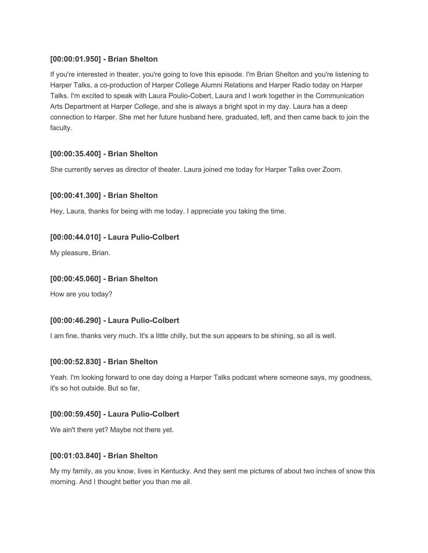## **[00:00:01.950] - Brian Shelton**

If you're interested in theater, you're going to love this episode. I'm Brian Shelton and you're listening to Harper Talks, a co-production of Harper College Alumni Relations and Harper Radio today on Harper Talks. I'm excited to speak with Laura Poulio-Cobert, Laura and I work together in the Communication Arts Department at Harper College, and she is always a bright spot in my day. Laura has a deep connection to Harper. She met her future husband here, graduated, left, and then came back to join the faculty.

## **[00:00:35.400] - Brian Shelton**

She currently serves as director of theater. Laura joined me today for Harper Talks over Zoom.

### **[00:00:41.300] - Brian Shelton**

Hey, Laura, thanks for being with me today. I appreciate you taking the time.

### **[00:00:44.010] - Laura Pulio-Colbert**

My pleasure, Brian.

### **[00:00:45.060] - Brian Shelton**

How are you today?

### **[00:00:46.290] - Laura Pulio-Colbert**

I am fine, thanks very much. It's a little chilly, but the sun appears to be shining, so all is well.

### **[00:00:52.830] - Brian Shelton**

Yeah. I'm looking forward to one day doing a Harper Talks podcast where someone says, my goodness, it's so hot outside. But so far,

### **[00:00:59.450] - Laura Pulio-Colbert**

We ain't there yet? Maybe not there yet.

#### **[00:01:03.840] - Brian Shelton**

My my family, as you know, lives in Kentucky. And they sent me pictures of about two inches of snow this morning. And I thought better you than me all.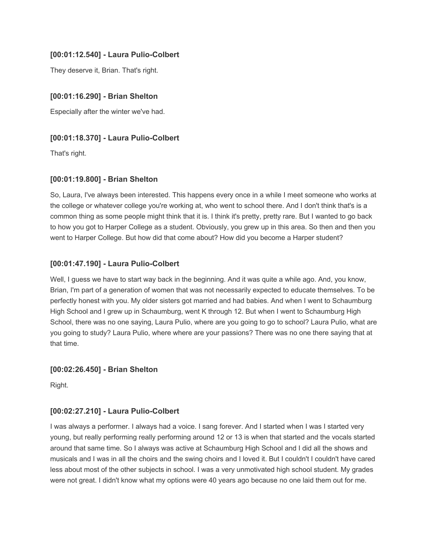## **[00:01:12.540] - Laura Pulio-Colbert**

They deserve it, Brian. That's right.

## **[00:01:16.290] - Brian Shelton**

Especially after the winter we've had.

## **[00:01:18.370] - Laura Pulio-Colbert**

That's right.

### **[00:01:19.800] - Brian Shelton**

So, Laura, I've always been interested. This happens every once in a while I meet someone who works at the college or whatever college you're working at, who went to school there. And I don't think that's is a common thing as some people might think that it is. I think it's pretty, pretty rare. But I wanted to go back to how you got to Harper College as a student. Obviously, you grew up in this area. So then and then you went to Harper College. But how did that come about? How did you become a Harper student?

## **[00:01:47.190] - Laura Pulio-Colbert**

Well, I guess we have to start way back in the beginning. And it was quite a while ago. And, you know, Brian, I'm part of a generation of women that was not necessarily expected to educate themselves. To be perfectly honest with you. My older sisters got married and had babies. And when I went to Schaumburg High School and I grew up in Schaumburg, went K through 12. But when I went to Schaumburg High School, there was no one saying, Laura Pulio, where are you going to go to school? Laura Pulio, what are you going to study? Laura Pulio, where where are your passions? There was no one there saying that at that time.

### **[00:02:26.450] - Brian Shelton**

Right.

# **[00:02:27.210] - Laura Pulio-Colbert**

I was always a performer. I always had a voice. I sang forever. And I started when I was I started very young, but really performing really performing around 12 or 13 is when that started and the vocals started around that same time. So I always was active at Schaumburg High School and I did all the shows and musicals and I was in all the choirs and the swing choirs and I loved it. But I couldn't I couldn't have cared less about most of the other subjects in school. I was a very unmotivated high school student. My grades were not great. I didn't know what my options were 40 years ago because no one laid them out for me.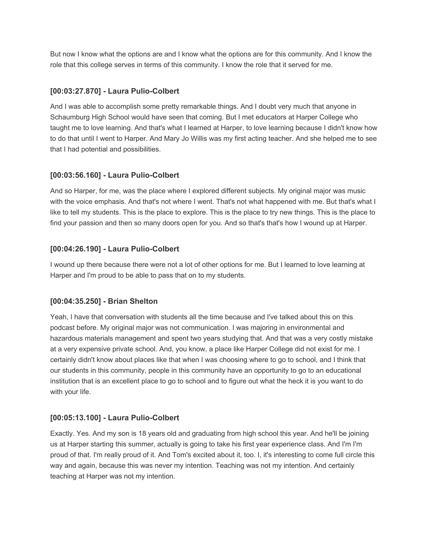But now I know what the options are and I know what the options are for this community. And I know the role that this college serves in terms of this community. I know the role that it served for me.

## **[00:03:27.870] - Laura Pulio-Colbert**

And I was able to accomplish some pretty remarkable things. And I doubt very much that anyone in Schaumburg High School would have seen that coming. But I met educators at Harper College who taught me to love learning. And that's what I learned at Harper, to love learning because I didn't know how to do that until I went to Harper. And Mary Jo Willis was my first acting teacher. And she helped me to see that I had potential and possibilities.

# **[00:03:56.160] - Laura Pulio-Colbert**

And so Harper, for me, was the place where I explored different subjects. My original major was music with the voice emphasis. And that's not where I went. That's not what happened with me. But that's what I like to tell my students. This is the place to explore. This is the place to try new things. This is the place to find your passion and then so many doors open for you. And so that's that's how I wound up at Harper.

## **[00:04:26.190] - Laura Pulio-Colbert**

I wound up there because there were not a lot of other options for me. But I learned to love learning at Harper and I'm proud to be able to pass that on to my students.

# **[00:04:35.250] - Brian Shelton**

Yeah, I have that conversation with students all the time because and I've talked about this on this podcast before. My original major was not communication. I was majoring in environmental and hazardous materials management and spent two years studying that. And that was a very costly mistake at a very expensive private school. And, you know, a place like Harper College did not exist for me. I certainly didn't know about places like that when I was choosing where to go to school, and I think that our students in this community, people in this community have an opportunity to go to an educational institution that is an excellent place to go to school and to figure out what the heck it is you want to do with your life.

### **[00:05:13.100] - Laura Pulio-Colbert**

Exactly. Yes. And my son is 18 years old and graduating from high school this year. And he'll be joining us at Harper starting this summer, actually is going to take his first year experience class. And I'm I'm proud of that. I'm really proud of it. And Tom's excited about it, too. I, it's interesting to come full circle this way and again, because this was never my intention. Teaching was not my intention. And certainly teaching at Harper was not my intention.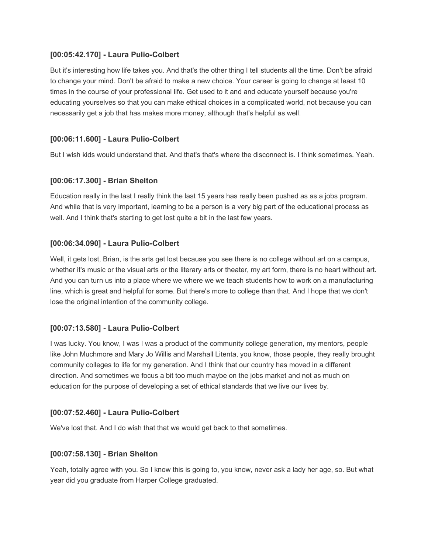#### **[00:05:42.170] - Laura Pulio-Colbert**

But it's interesting how life takes you. And that's the other thing I tell students all the time. Don't be afraid to change your mind. Don't be afraid to make a new choice. Your career is going to change at least 10 times in the course of your professional life. Get used to it and and educate yourself because you're educating yourselves so that you can make ethical choices in a complicated world, not because you can necessarily get a job that has makes more money, although that's helpful as well.

#### **[00:06:11.600] - Laura Pulio-Colbert**

But I wish kids would understand that. And that's that's where the disconnect is. I think sometimes. Yeah.

#### **[00:06:17.300] - Brian Shelton**

Education really in the last I really think the last 15 years has really been pushed as as a jobs program. And while that is very important, learning to be a person is a very big part of the educational process as well. And I think that's starting to get lost quite a bit in the last few years.

#### **[00:06:34.090] - Laura Pulio-Colbert**

Well, it gets lost, Brian, is the arts get lost because you see there is no college without art on a campus, whether it's music or the visual arts or the literary arts or theater, my art form, there is no heart without art. And you can turn us into a place where we where we we teach students how to work on a manufacturing line, which is great and helpful for some. But there's more to college than that. And I hope that we don't lose the original intention of the community college.

### **[00:07:13.580] - Laura Pulio-Colbert**

I was lucky. You know, I was I was a product of the community college generation, my mentors, people like John Muchmore and Mary Jo Willis and Marshall Litenta, you know, those people, they really brought community colleges to life for my generation. And I think that our country has moved in a different direction. And sometimes we focus a bit too much maybe on the jobs market and not as much on education for the purpose of developing a set of ethical standards that we live our lives by.

#### **[00:07:52.460] - Laura Pulio-Colbert**

We've lost that. And I do wish that that we would get back to that sometimes.

#### **[00:07:58.130] - Brian Shelton**

Yeah, totally agree with you. So I know this is going to, you know, never ask a lady her age, so. But what year did you graduate from Harper College graduated.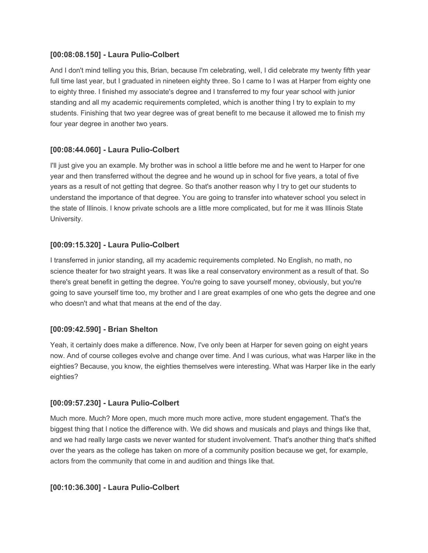#### **[00:08:08.150] - Laura Pulio-Colbert**

And I don't mind telling you this, Brian, because I'm celebrating, well, I did celebrate my twenty fifth year full time last year, but I graduated in nineteen eighty three. So I came to I was at Harper from eighty one to eighty three. I finished my associate's degree and I transferred to my four year school with junior standing and all my academic requirements completed, which is another thing I try to explain to my students. Finishing that two year degree was of great benefit to me because it allowed me to finish my four year degree in another two years.

### **[00:08:44.060] - Laura Pulio-Colbert**

I'll just give you an example. My brother was in school a little before me and he went to Harper for one year and then transferred without the degree and he wound up in school for five years, a total of five years as a result of not getting that degree. So that's another reason why I try to get our students to understand the importance of that degree. You are going to transfer into whatever school you select in the state of Illinois. I know private schools are a little more complicated, but for me it was Illinois State University.

### **[00:09:15.320] - Laura Pulio-Colbert**

I transferred in junior standing, all my academic requirements completed. No English, no math, no science theater for two straight years. It was like a real conservatory environment as a result of that. So there's great benefit in getting the degree. You're going to save yourself money, obviously, but you're going to save yourself time too, my brother and I are great examples of one who gets the degree and one who doesn't and what that means at the end of the day.

### **[00:09:42.590] - Brian Shelton**

Yeah, it certainly does make a difference. Now, I've only been at Harper for seven going on eight years now. And of course colleges evolve and change over time. And I was curious, what was Harper like in the eighties? Because, you know, the eighties themselves were interesting. What was Harper like in the early eighties?

### **[00:09:57.230] - Laura Pulio-Colbert**

Much more. Much? More open, much more much more active, more student engagement. That's the biggest thing that I notice the difference with. We did shows and musicals and plays and things like that, and we had really large casts we never wanted for student involvement. That's another thing that's shifted over the years as the college has taken on more of a community position because we get, for example, actors from the community that come in and audition and things like that.

### **[00:10:36.300] - Laura Pulio-Colbert**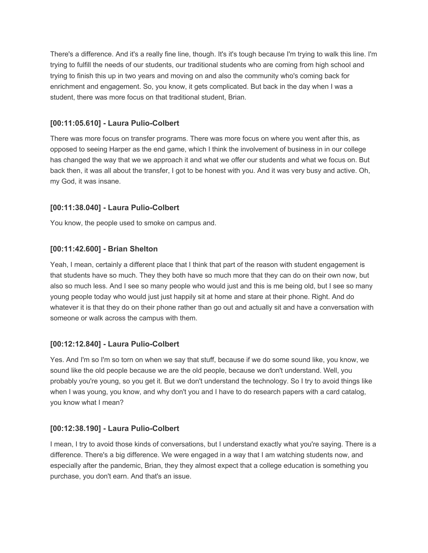There's a difference. And it's a really fine line, though. It's it's tough because I'm trying to walk this line. I'm trying to fulfill the needs of our students, our traditional students who are coming from high school and trying to finish this up in two years and moving on and also the community who's coming back for enrichment and engagement. So, you know, it gets complicated. But back in the day when I was a student, there was more focus on that traditional student, Brian.

## **[00:11:05.610] - Laura Pulio-Colbert**

There was more focus on transfer programs. There was more focus on where you went after this, as opposed to seeing Harper as the end game, which I think the involvement of business in in our college has changed the way that we we approach it and what we offer our students and what we focus on. But back then, it was all about the transfer, I got to be honest with you. And it was very busy and active. Oh, my God, it was insane.

## **[00:11:38.040] - Laura Pulio-Colbert**

You know, the people used to smoke on campus and.

## **[00:11:42.600] - Brian Shelton**

Yeah, I mean, certainly a different place that I think that part of the reason with student engagement is that students have so much. They they both have so much more that they can do on their own now, but also so much less. And I see so many people who would just and this is me being old, but I see so many young people today who would just just happily sit at home and stare at their phone. Right. And do whatever it is that they do on their phone rather than go out and actually sit and have a conversation with someone or walk across the campus with them.

### **[00:12:12.840] - Laura Pulio-Colbert**

Yes. And I'm so I'm so torn on when we say that stuff, because if we do some sound like, you know, we sound like the old people because we are the old people, because we don't understand. Well, you probably you're young, so you get it. But we don't understand the technology. So I try to avoid things like when I was young, you know, and why don't you and I have to do research papers with a card catalog, you know what I mean?

### **[00:12:38.190] - Laura Pulio-Colbert**

I mean, I try to avoid those kinds of conversations, but I understand exactly what you're saying. There is a difference. There's a big difference. We were engaged in a way that I am watching students now, and especially after the pandemic, Brian, they they almost expect that a college education is something you purchase, you don't earn. And that's an issue.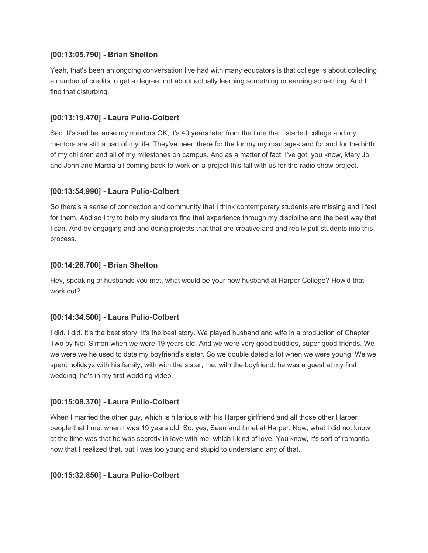#### **[00:13:05.790] - Brian Shelton**

Yeah, that's been an ongoing conversation I've had with many educators is that college is about collecting a number of credits to get a degree, not about actually learning something or earning something. And I find that disturbing.

## **[00:13:19.470] - Laura Pulio-Colbert**

Sad. It's sad because my mentors OK, it's 40 years later from the time that I started college and my mentors are still a part of my life. They've been there for the for my my marriages and for and for the birth of my children and all of my milestones on campus. And as a matter of fact, I've got, you know, Mary Jo and John and Marcia all coming back to work on a project this fall with us for the radio show project.

### **[00:13:54.990] - Laura Pulio-Colbert**

So there's a sense of connection and community that I think contemporary students are missing and I feel for them. And so I try to help my students find that experience through my discipline and the best way that I can. And by engaging and and doing projects that that are creative and and really pull students into this process.

### **[00:14:26.700] - Brian Shelton**

Hey, speaking of husbands you met, what would be your now husband at Harper College? How'd that work out?

### **[00:14:34.500] - Laura Pulio-Colbert**

I did. I did. It's the best story. It's the best story. We played husband and wife in a production of Chapter Two by Neil Simon when we were 19 years old. And we were very good buddies, super good friends. We we were we he used to date my boyfriend's sister. So we double dated a lot when we were young. We we spent holidays with his family, with with the sister, me, with the boyfriend, he was a guest at my first wedding, he's in my first wedding video.

### **[00:15:08.370] - Laura Pulio-Colbert**

When I married the other guy, which is hilarious with his Harper girlfriend and all those other Harper people that I met when I was 19 years old. So, yes, Sean and I met at Harper. Now, what I did not know at the time was that he was secretly in love with me, which I kind of love. You know, it's sort of romantic now that I realized that, but I was too young and stupid to understand any of that.

### **[00:15:32.850] - Laura Pulio-Colbert**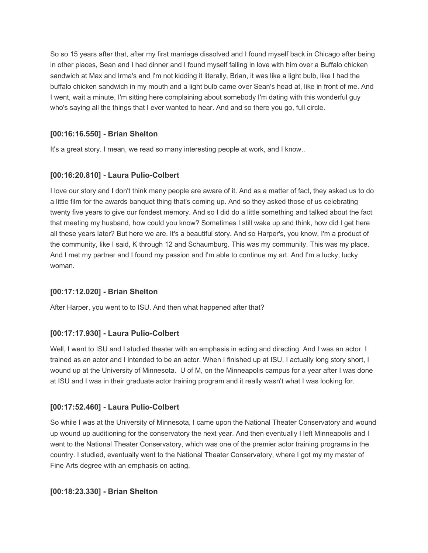So so 15 years after that, after my first marriage dissolved and I found myself back in Chicago after being in other places, Sean and I had dinner and I found myself falling in love with him over a Buffalo chicken sandwich at Max and Irma's and I'm not kidding it literally, Brian, it was like a light bulb, like I had the buffalo chicken sandwich in my mouth and a light bulb came over Sean's head at, like in front of me. And I went, wait a minute, I'm sitting here complaining about somebody I'm dating with this wonderful guy who's saying all the things that I ever wanted to hear. And and so there you go, full circle.

# **[00:16:16.550] - Brian Shelton**

It's a great story. I mean, we read so many interesting people at work, and I know..

# **[00:16:20.810] - Laura Pulio-Colbert**

I love our story and I don't think many people are aware of it. And as a matter of fact, they asked us to do a little film for the awards banquet thing that's coming up. And so they asked those of us celebrating twenty five years to give our fondest memory. And so I did do a little something and talked about the fact that meeting my husband, how could you know? Sometimes I still wake up and think, how did I get here all these years later? But here we are. It's a beautiful story. And so Harper's, you know, I'm a product of the community, like I said, K through 12 and Schaumburg. This was my community. This was my place. And I met my partner and I found my passion and I'm able to continue my art. And I'm a lucky, lucky woman.

# **[00:17:12.020] - Brian Shelton**

After Harper, you went to to ISU. And then what happened after that?

# **[00:17:17.930] - Laura Pulio-Colbert**

Well, I went to ISU and I studied theater with an emphasis in acting and directing. And I was an actor. I trained as an actor and I intended to be an actor. When I finished up at ISU, I actually long story short, I wound up at the University of Minnesota. U of M, on the Minneapolis campus for a year after I was done at ISU and I was in their graduate actor training program and it really wasn't what I was looking for.

# **[00:17:52.460] - Laura Pulio-Colbert**

So while I was at the University of Minnesota, I came upon the National Theater Conservatory and wound up wound up auditioning for the conservatory the next year. And then eventually I left Minneapolis and I went to the National Theater Conservatory, which was one of the premier actor training programs in the country. I studied, eventually went to the National Theater Conservatory, where I got my my master of Fine Arts degree with an emphasis on acting.

# **[00:18:23.330] - Brian Shelton**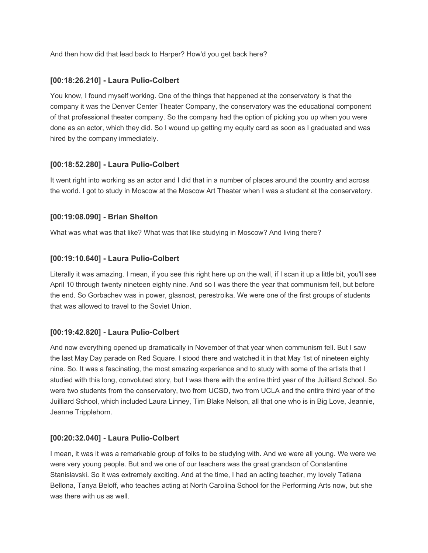And then how did that lead back to Harper? How'd you get back here?

## **[00:18:26.210] - Laura Pulio-Colbert**

You know, I found myself working. One of the things that happened at the conservatory is that the company it was the Denver Center Theater Company, the conservatory was the educational component of that professional theater company. So the company had the option of picking you up when you were done as an actor, which they did. So I wound up getting my equity card as soon as I graduated and was hired by the company immediately.

### **[00:18:52.280] - Laura Pulio-Colbert**

It went right into working as an actor and I did that in a number of places around the country and across the world. I got to study in Moscow at the Moscow Art Theater when I was a student at the conservatory.

### **[00:19:08.090] - Brian Shelton**

What was what was that like? What was that like studying in Moscow? And living there?

## **[00:19:10.640] - Laura Pulio-Colbert**

Literally it was amazing. I mean, if you see this right here up on the wall, if I scan it up a little bit, you'll see April 10 through twenty nineteen eighty nine. And so I was there the year that communism fell, but before the end. So Gorbachev was in power, glasnost, perestroika. We were one of the first groups of students that was allowed to travel to the Soviet Union.

### **[00:19:42.820] - Laura Pulio-Colbert**

And now everything opened up dramatically in November of that year when communism fell. But I saw the last May Day parade on Red Square. I stood there and watched it in that May 1st of nineteen eighty nine. So. It was a fascinating, the most amazing experience and to study with some of the artists that I studied with this long, convoluted story, but I was there with the entire third year of the Juilliard School. So were two students from the conservatory, two from UCSD, two from UCLA and the entire third year of the Juilliard School, which included Laura Linney, Tim Blake Nelson, all that one who is in Big Love, Jeannie, Jeanne Tripplehorn.

### **[00:20:32.040] - Laura Pulio-Colbert**

I mean, it was it was a remarkable group of folks to be studying with. And we were all young. We were we were very young people. But and we one of our teachers was the great grandson of Constantine Stanislavski. So it was extremely exciting. And at the time, I had an acting teacher, my lovely Tatiana Bellona, Tanya Beloff, who teaches acting at North Carolina School for the Performing Arts now, but she was there with us as well.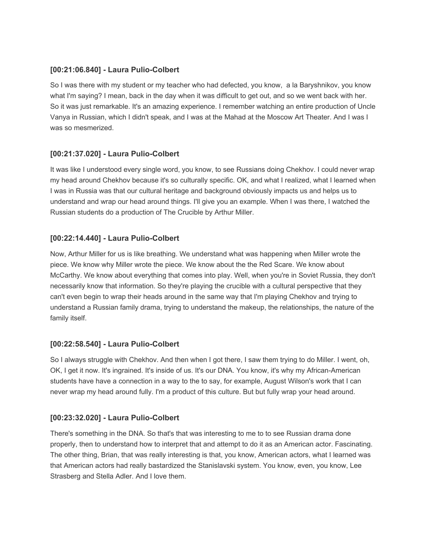## **[00:21:06.840] - Laura Pulio-Colbert**

So I was there with my student or my teacher who had defected, you know, a la Baryshnikov, you know what I'm saying? I mean, back in the day when it was difficult to get out, and so we went back with her. So it was just remarkable. It's an amazing experience. I remember watching an entire production of Uncle Vanya in Russian, which I didn't speak, and I was at the Mahad at the Moscow Art Theater. And I was I was so mesmerized.

# **[00:21:37.020] - Laura Pulio-Colbert**

It was like I understood every single word, you know, to see Russians doing Chekhov. I could never wrap my head around Chekhov because it's so culturally specific. OK, and what I realized, what I learned when I was in Russia was that our cultural heritage and background obviously impacts us and helps us to understand and wrap our head around things. I'll give you an example. When I was there, I watched the Russian students do a production of The Crucible by Arthur Miller.

## **[00:22:14.440] - Laura Pulio-Colbert**

Now, Arthur Miller for us is like breathing. We understand what was happening when Miller wrote the piece. We know why Miller wrote the piece. We know about the the Red Scare. We know about McCarthy. We know about everything that comes into play. Well, when you're in Soviet Russia, they don't necessarily know that information. So they're playing the crucible with a cultural perspective that they can't even begin to wrap their heads around in the same way that I'm playing Chekhov and trying to understand a Russian family drama, trying to understand the makeup, the relationships, the nature of the family itself.

### **[00:22:58.540] - Laura Pulio-Colbert**

So I always struggle with Chekhov. And then when I got there, I saw them trying to do Miller. I went, oh, OK, I get it now. It's ingrained. It's inside of us. It's our DNA. You know, it's why my African-American students have have a connection in a way to the to say, for example, August Wilson's work that I can never wrap my head around fully. I'm a product of this culture. But but fully wrap your head around.

### **[00:23:32.020] - Laura Pulio-Colbert**

There's something in the DNA. So that's that was interesting to me to to see Russian drama done properly, then to understand how to interpret that and attempt to do it as an American actor. Fascinating. The other thing, Brian, that was really interesting is that, you know, American actors, what I learned was that American actors had really bastardized the Stanislavski system. You know, even, you know, Lee Strasberg and Stella Adler. And I love them.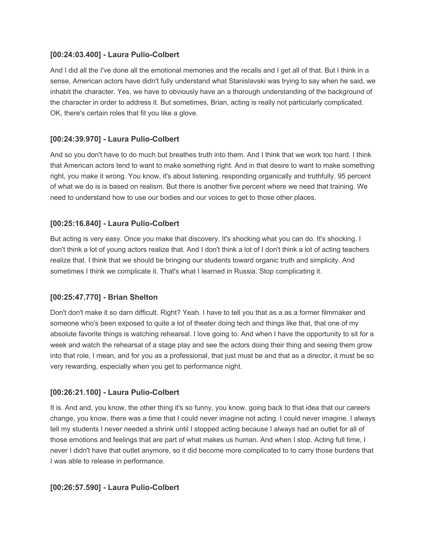#### **[00:24:03.400] - Laura Pulio-Colbert**

And I did all the I've done all the emotional memories and the recalls and I get all of that. But I think in a sense, American actors have didn't fully understand what Stanislavski was trying to say when he said, we inhabit the character. Yes, we have to obviously have an a thorough understanding of the background of the character in order to address it. But sometimes, Brian, acting is really not particularly complicated. OK, there's certain roles that fit you like a glove.

### **[00:24:39.970] - Laura Pulio-Colbert**

And so you don't have to do much but breathes truth into them. And I think that we work too hard. I think that American actors tend to want to make something right. And in that desire to want to make something right, you make it wrong. You know, it's about listening, responding organically and truthfully. 95 percent of what we do is is based on realism. But there is another five percent where we need that training. We need to understand how to use our bodies and our voices to get to those other places.

#### **[00:25:16.840] - Laura Pulio-Colbert**

But acting is very easy. Once you make that discovery. It's shocking what you can do. It's shocking. I don't think a lot of young actors realize that. And I don't think a lot of I don't think a lot of acting teachers realize that. I think that we should be bringing our students toward organic truth and simplicity. And sometimes I think we complicate it. That's what I learned in Russia. Stop complicating it.

#### **[00:25:47.770] - Brian Shelton**

Don't don't make it so darn difficult. Right? Yeah. I have to tell you that as a as a former filmmaker and someone who's been exposed to quite a lot of theater doing tech and things like that, that one of my absolute favorite things is watching rehearsal. I love going to. And when I have the opportunity to sit for a week and watch the rehearsal of a stage play and see the actors doing their thing and seeing them grow into that role, I mean, and for you as a professional, that just must be and that as a director, it must be so very rewarding, especially when you get to performance night.

#### **[00:26:21.100] - Laura Pulio-Colbert**

It is. And and, you know, the other thing it's so funny, you know, going back to that idea that our careers change, you know, there was a time that I could never imagine not acting. I could never imagine. I always tell my students I never needed a shrink until I stopped acting because I always had an outlet for all of those emotions and feelings that are part of what makes us human. And when I stop. Acting full time, I never I didn't have that outlet anymore, so it did become more complicated to to carry those burdens that I was able to release in performance.

#### **[00:26:57.590] - Laura Pulio-Colbert**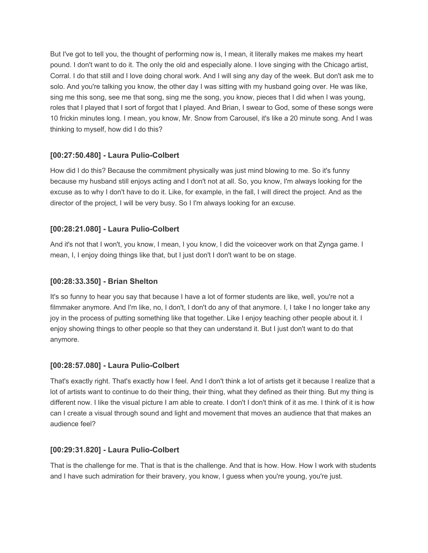But I've got to tell you, the thought of performing now is, I mean, it literally makes me makes my heart pound. I don't want to do it. The only the old and especially alone. I love singing with the Chicago artist, Corral. I do that still and I love doing choral work. And I will sing any day of the week. But don't ask me to solo. And you're talking you know, the other day I was sitting with my husband going over. He was like, sing me this song, see me that song, sing me the song, you know, pieces that I did when I was young, roles that I played that I sort of forgot that I played. And Brian, I swear to God, some of these songs were 10 frickin minutes long. I mean, you know, Mr. Snow from Carousel, it's like a 20 minute song. And I was thinking to myself, how did I do this?

# **[00:27:50.480] - Laura Pulio-Colbert**

How did I do this? Because the commitment physically was just mind blowing to me. So it's funny because my husband still enjoys acting and I don't not at all. So, you know, I'm always looking for the excuse as to why I don't have to do it. Like, for example, in the fall, I will direct the project. And as the director of the project, I will be very busy. So I I'm always looking for an excuse.

# **[00:28:21.080] - Laura Pulio-Colbert**

And it's not that I won't, you know, I mean, I you know, I did the voiceover work on that Zynga game. I mean, I, I enjoy doing things like that, but I just don't I don't want to be on stage.

# **[00:28:33.350] - Brian Shelton**

It's so funny to hear you say that because I have a lot of former students are like, well, you're not a filmmaker anymore. And I'm like, no, I don't, I don't do any of that anymore. I, I take I no longer take any joy in the process of putting something like that together. Like I enjoy teaching other people about it. I enjoy showing things to other people so that they can understand it. But I just don't want to do that anymore.

# **[00:28:57.080] - Laura Pulio-Colbert**

That's exactly right. That's exactly how I feel. And I don't think a lot of artists get it because I realize that a lot of artists want to continue to do their thing, their thing, what they defined as their thing. But my thing is different now. I like the visual picture I am able to create. I don't I don't think of it as me. I think of it is how can I create a visual through sound and light and movement that moves an audience that that makes an audience feel?

### **[00:29:31.820] - Laura Pulio-Colbert**

That is the challenge for me. That is that is the challenge. And that is how. How. How I work with students and I have such admiration for their bravery, you know, I guess when you're young, you're just.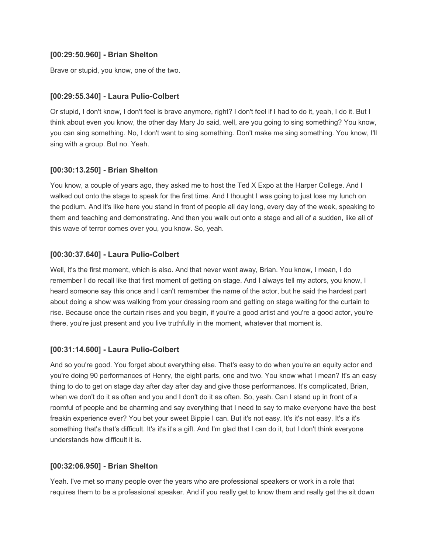#### **[00:29:50.960] - Brian Shelton**

Brave or stupid, you know, one of the two.

#### **[00:29:55.340] - Laura Pulio-Colbert**

Or stupid, I don't know, I don't feel is brave anymore, right? I don't feel if I had to do it, yeah, I do it. But I think about even you know, the other day Mary Jo said, well, are you going to sing something? You know, you can sing something. No, I don't want to sing something. Don't make me sing something. You know, I'll sing with a group. But no. Yeah.

#### **[00:30:13.250] - Brian Shelton**

You know, a couple of years ago, they asked me to host the Ted X Expo at the Harper College. And I walked out onto the stage to speak for the first time. And I thought I was going to just lose my lunch on the podium. And it's like here you stand in front of people all day long, every day of the week, speaking to them and teaching and demonstrating. And then you walk out onto a stage and all of a sudden, like all of this wave of terror comes over you, you know. So, yeah.

### **[00:30:37.640] - Laura Pulio-Colbert**

Well, it's the first moment, which is also. And that never went away, Brian. You know, I mean, I do remember I do recall like that first moment of getting on stage. And I always tell my actors, you know, I heard someone say this once and I can't remember the name of the actor, but he said the hardest part about doing a show was walking from your dressing room and getting on stage waiting for the curtain to rise. Because once the curtain rises and you begin, if you're a good artist and you're a good actor, you're there, you're just present and you live truthfully in the moment, whatever that moment is.

### **[00:31:14.600] - Laura Pulio-Colbert**

And so you're good. You forget about everything else. That's easy to do when you're an equity actor and you're doing 90 performances of Henry, the eight parts, one and two. You know what I mean? It's an easy thing to do to get on stage day after day after day and give those performances. It's complicated, Brian, when we don't do it as often and you and I don't do it as often. So, yeah. Can I stand up in front of a roomful of people and be charming and say everything that I need to say to make everyone have the best freakin experience ever? You bet your sweet Bippie I can. But it's not easy. It's it's not easy. It's a it's something that's that's difficult. It's it's it's a gift. And I'm glad that I can do it, but I don't think everyone understands how difficult it is.

#### **[00:32:06.950] - Brian Shelton**

Yeah. I've met so many people over the years who are professional speakers or work in a role that requires them to be a professional speaker. And if you really get to know them and really get the sit down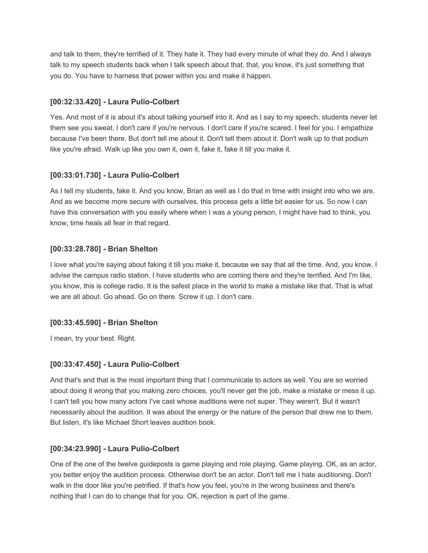and talk to them, they're terrified of it. They hate it. They had every minute of what they do. And I always talk to my speech students back when I talk speech about that, that, you know, it's just something that you do. You have to harness that power within you and make it happen.

## **[00:32:33.420] - Laura Pulio-Colbert**

Yes. And most of it is about it's about talking yourself into it. And as I say to my speech, students never let them see you sweat. I don't care if you're nervous. I don't care if you're scared. I feel for you. I empathize because I've been there. But don't tell me about it. Don't tell them about it. Don't walk up to that podium like you're afraid. Walk up like you own it, own it, fake it, fake it till you make it.

## **[00:33:01.730] - Laura Pulio-Colbert**

As I tell my students, fake it. And you know, Brian as well as I do that in time with insight into who we are. And as we become more secure with ourselves, this process gets a little bit easier for us. So now I can have this conversation with you easily where when I was a young person, I might have had to think, you know, time heals all fear in that regard.

## **[00:33:28.780] - Brian Shelton**

I love what you're saying about faking it till you make it, because we say that all the time. And, you know, I advise the campus radio station. I have students who are coming there and they're terrified. And I'm like, you know, this is college radio. It is the safest place in the world to make a mistake like that. That is what we are all about. Go ahead. Go on there. Screw it up. I don't care.

### **[00:33:45.590] - Brian Shelton**

I mean, try your best. Right.

### **[00:33:47.450] - Laura Pulio-Colbert**

And that's and that is the most important thing that I communicate to actors as well. You are so worried about doing it wrong that you making zero choices, you'll never get the job, make a mistake or mess it up. I can't tell you how many actors I've cast whose auditions were not super. They weren't. But it wasn't necessarily about the audition. It was about the energy or the nature of the person that drew me to them. But listen, it's like Michael Short leaves audition book.

### **[00:34:23.990] - Laura Pulio-Colbert**

One of the one of the twelve guideposts is game playing and role playing. Game playing. OK, as an actor, you better enjoy the audition process. Otherwise don't be an actor. Don't tell me I hate auditioning. Don't walk in the door like you're petrified. If that's how you feel, you're in the wrong business and there's nothing that I can do to change that for you. OK, rejection is part of the game.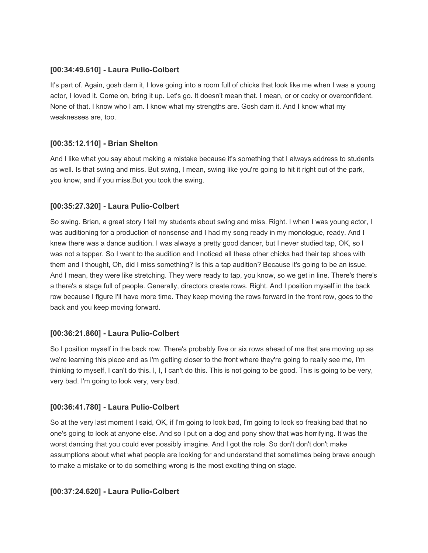## **[00:34:49.610] - Laura Pulio-Colbert**

It's part of. Again, gosh darn it, I love going into a room full of chicks that look like me when I was a young actor, I loved it. Come on, bring it up. Let's go. It doesn't mean that. I mean, or or cocky or overconfident. None of that. I know who I am. I know what my strengths are. Gosh darn it. And I know what my weaknesses are, too.

## **[00:35:12.110] - Brian Shelton**

And I like what you say about making a mistake because it's something that I always address to students as well. Is that swing and miss. But swing, I mean, swing like you're going to hit it right out of the park, you know, and if you miss.But you took the swing.

## **[00:35:27.320] - Laura Pulio-Colbert**

So swing. Brian, a great story I tell my students about swing and miss. Right. I when I was young actor, I was auditioning for a production of nonsense and I had my song ready in my monologue, ready. And I knew there was a dance audition. I was always a pretty good dancer, but I never studied tap, OK, so I was not a tapper. So I went to the audition and I noticed all these other chicks had their tap shoes with them and I thought, Oh, did I miss something? Is this a tap audition? Because it's going to be an issue. And I mean, they were like stretching. They were ready to tap, you know, so we get in line. There's there's a there's a stage full of people. Generally, directors create rows. Right. And I position myself in the back row because I figure I'll have more time. They keep moving the rows forward in the front row, goes to the back and you keep moving forward.

### **[00:36:21.860] - Laura Pulio-Colbert**

So I position myself in the back row. There's probably five or six rows ahead of me that are moving up as we're learning this piece and as I'm getting closer to the front where they're going to really see me, I'm thinking to myself, I can't do this. I, I, I can't do this. This is not going to be good. This is going to be very, very bad. I'm going to look very, very bad.

# **[00:36:41.780] - Laura Pulio-Colbert**

So at the very last moment I said, OK, if I'm going to look bad, I'm going to look so freaking bad that no one's going to look at anyone else. And so I put on a dog and pony show that was horrifying. It was the worst dancing that you could ever possibly imagine. And I got the role. So don't don't don't make assumptions about what what people are looking for and understand that sometimes being brave enough to make a mistake or to do something wrong is the most exciting thing on stage.

### **[00:37:24.620] - Laura Pulio-Colbert**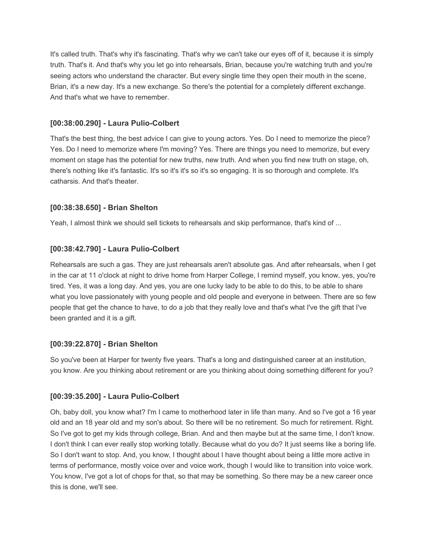It's called truth. That's why it's fascinating. That's why we can't take our eyes off of it, because it is simply truth. That's it. And that's why you let go into rehearsals, Brian, because you're watching truth and you're seeing actors who understand the character. But every single time they open their mouth in the scene, Brian, it's a new day. It's a new exchange. So there's the potential for a completely different exchange. And that's what we have to remember.

## **[00:38:00.290] - Laura Pulio-Colbert**

That's the best thing, the best advice I can give to young actors. Yes. Do I need to memorize the piece? Yes. Do I need to memorize where I'm moving? Yes. There are things you need to memorize, but every moment on stage has the potential for new truths, new truth. And when you find new truth on stage, oh, there's nothing like it's fantastic. It's so it's it's so it's so engaging. It is so thorough and complete. It's catharsis. And that's theater.

## **[00:38:38.650] - Brian Shelton**

Yeah, I almost think we should sell tickets to rehearsals and skip performance, that's kind of ...

## **[00:38:42.790] - Laura Pulio-Colbert**

Rehearsals are such a gas. They are just rehearsals aren't absolute gas. And after rehearsals, when I get in the car at 11 o'clock at night to drive home from Harper College, I remind myself, you know, yes, you're tired. Yes, it was a long day. And yes, you are one lucky lady to be able to do this, to be able to share what you love passionately with young people and old people and everyone in between. There are so few people that get the chance to have, to do a job that they really love and that's what I've the gift that I've been granted and it is a gift.

### **[00:39:22.870] - Brian Shelton**

So you've been at Harper for twenty five years. That's a long and distinguished career at an institution, you know. Are you thinking about retirement or are you thinking about doing something different for you?

### **[00:39:35.200] - Laura Pulio-Colbert**

Oh, baby doll, you know what? I'm I came to motherhood later in life than many. And so I've got a 16 year old and an 18 year old and my son's about. So there will be no retirement. So much for retirement. Right. So I've got to get my kids through college, Brian. And and then maybe but at the same time, I don't know. I don't think I can ever really stop working totally. Because what do you do? It just seems like a boring life. So I don't want to stop. And, you know, I thought about I have thought about being a little more active in terms of performance, mostly voice over and voice work, though I would like to transition into voice work. You know, I've got a lot of chops for that, so that may be something. So there may be a new career once this is done, we'll see.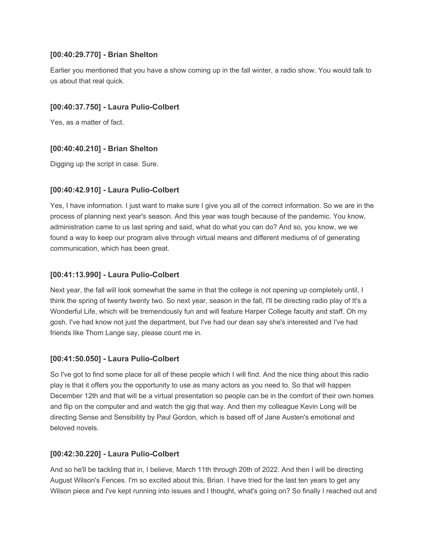## **[00:40:29.770] - Brian Shelton**

Earlier you mentioned that you have a show coming up in the fall winter, a radio show. You would talk to us about that real quick.

## **[00:40:37.750] - Laura Pulio-Colbert**

Yes, as a matter of fact.

## **[00:40:40.210] - Brian Shelton**

Digging up the script in case. Sure.

## **[00:40:42.910] - Laura Pulio-Colbert**

Yes, I have information. I just want to make sure I give you all of the correct information. So we are in the process of planning next year's season. And this year was tough because of the pandemic. You know, administration came to us last spring and said, what do what you can do? And so, you know, we we found a way to keep our program alive through virtual means and different mediums of of generating communication, which has been great.

## **[00:41:13.990] - Laura Pulio-Colbert**

Next year, the fall will look somewhat the same in that the college is not opening up completely until, I think the spring of twenty twenty two. So next year, season in the fall, I'll be directing radio play of It's a Wonderful Life, which will be tremendously fun and will feature Harper College faculty and staff. Oh my gosh. I've had know not just the department, but I've had our dean say she's interested and I've had friends like Thom Lange say, please count me in.

### **[00:41:50.050] - Laura Pulio-Colbert**

So I've got to find some place for all of these people which I will find. And the nice thing about this radio play is that it offers you the opportunity to use as many actors as you need to. So that will happen December 12th and that will be a virtual presentation so people can be in the comfort of their own homes and flip on the computer and and watch the gig that way. And then my colleague Kevin Long will be directing Sense and Sensibility by Paul Gordon, which is based off of Jane Austen's emotional and beloved novels.

### **[00:42:30.220] - Laura Pulio-Colbert**

And so he'll be tackling that in, I believe, March 11th through 20th of 2022. And then I will be directing August Wilson's Fences. I'm so excited about this, Brian. I have tried for the last ten years to get any Wilson piece and I've kept running into issues and I thought, what's going on? So finally I reached out and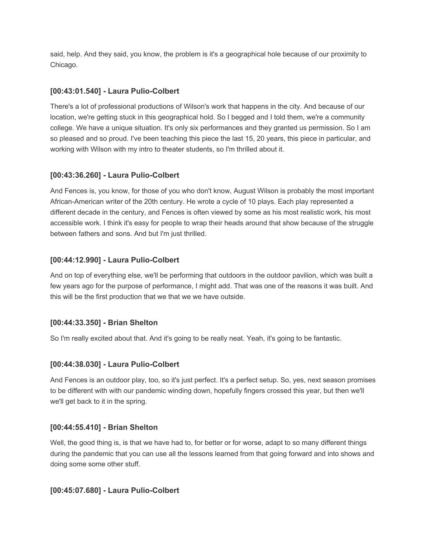said, help. And they said, you know, the problem is it's a geographical hole because of our proximity to Chicago.

## **[00:43:01.540] - Laura Pulio-Colbert**

There's a lot of professional productions of Wilson's work that happens in the city. And because of our location, we're getting stuck in this geographical hold. So I begged and I told them, we're a community college. We have a unique situation. It's only six performances and they granted us permission. So I am so pleased and so proud. I've been teaching this piece the last 15, 20 years, this piece in particular, and working with Wilson with my intro to theater students, so I'm thrilled about it.

# **[00:43:36.260] - Laura Pulio-Colbert**

And Fences is, you know, for those of you who don't know, August Wilson is probably the most important African-American writer of the 20th century. He wrote a cycle of 10 plays. Each play represented a different decade in the century, and Fences is often viewed by some as his most realistic work, his most accessible work. I think it's easy for people to wrap their heads around that show because of the struggle between fathers and sons. And but I'm just thrilled.

## **[00:44:12.990] - Laura Pulio-Colbert**

And on top of everything else, we'll be performing that outdoors in the outdoor pavilion, which was built a few years ago for the purpose of performance, I might add. That was one of the reasons it was built. And this will be the first production that we that we we have outside.

### **[00:44:33.350] - Brian Shelton**

So I'm really excited about that. And it's going to be really neat. Yeah, it's going to be fantastic.

### **[00:44:38.030] - Laura Pulio-Colbert**

And Fences is an outdoor play, too, so it's just perfect. It's a perfect setup. So, yes, next season promises to be different with with our pandemic winding down, hopefully fingers crossed this year, but then we'll we'll get back to it in the spring.

### **[00:44:55.410] - Brian Shelton**

Well, the good thing is, is that we have had to, for better or for worse, adapt to so many different things during the pandemic that you can use all the lessons learned from that going forward and into shows and doing some some other stuff.

### **[00:45:07.680] - Laura Pulio-Colbert**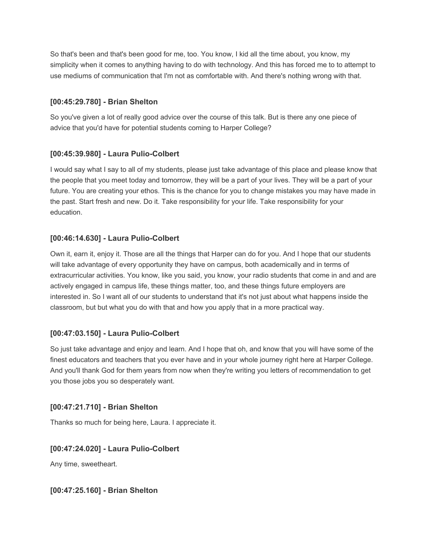So that's been and that's been good for me, too. You know, I kid all the time about, you know, my simplicity when it comes to anything having to do with technology. And this has forced me to to attempt to use mediums of communication that I'm not as comfortable with. And there's nothing wrong with that.

## **[00:45:29.780] - Brian Shelton**

So you've given a lot of really good advice over the course of this talk. But is there any one piece of advice that you'd have for potential students coming to Harper College?

## **[00:45:39.980] - Laura Pulio-Colbert**

I would say what I say to all of my students, please just take advantage of this place and please know that the people that you meet today and tomorrow, they will be a part of your lives. They will be a part of your future. You are creating your ethos. This is the chance for you to change mistakes you may have made in the past. Start fresh and new. Do it. Take responsibility for your life. Take responsibility for your education.

## **[00:46:14.630] - Laura Pulio-Colbert**

Own it, earn it, enjoy it. Those are all the things that Harper can do for you. And I hope that our students will take advantage of every opportunity they have on campus, both academically and in terms of extracurricular activities. You know, like you said, you know, your radio students that come in and and are actively engaged in campus life, these things matter, too, and these things future employers are interested in. So I want all of our students to understand that it's not just about what happens inside the classroom, but but what you do with that and how you apply that in a more practical way.

### **[00:47:03.150] - Laura Pulio-Colbert**

So just take advantage and enjoy and learn. And I hope that oh, and know that you will have some of the finest educators and teachers that you ever have and in your whole journey right here at Harper College. And you'll thank God for them years from now when they're writing you letters of recommendation to get you those jobs you so desperately want.

### **[00:47:21.710] - Brian Shelton**

Thanks so much for being here, Laura. I appreciate it.

### **[00:47:24.020] - Laura Pulio-Colbert**

Any time, sweetheart.

**[00:47:25.160] - Brian Shelton**